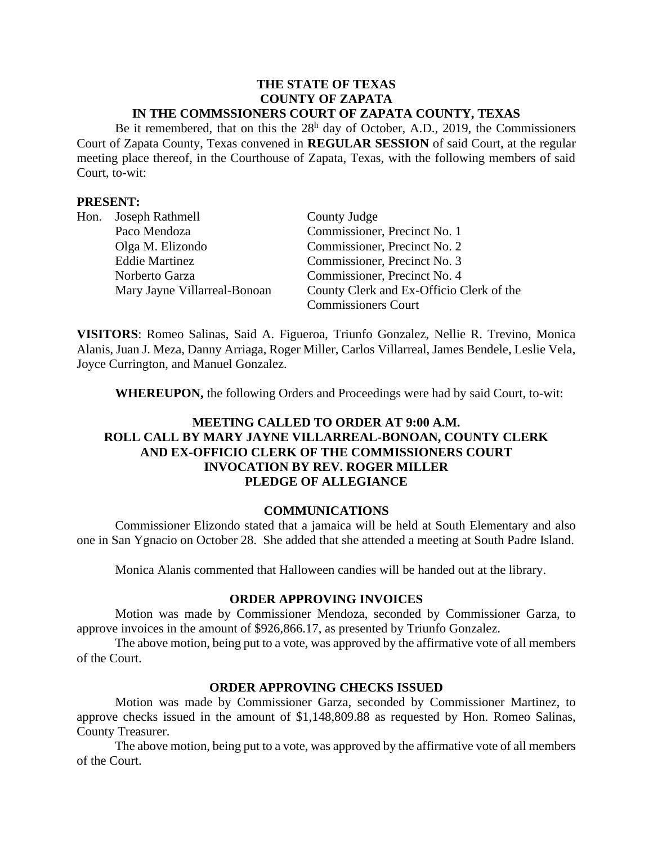#### **THE STATE OF TEXAS COUNTY OF ZAPATA IN THE COMMSSIONERS COURT OF ZAPATA COUNTY, TEXAS**

Be it remembered, that on this the  $28<sup>h</sup>$  day of October, A.D., 2019, the Commissioners Court of Zapata County, Texas convened in **REGULAR SESSION** of said Court, at the regular meeting place thereof, in the Courthouse of Zapata, Texas, with the following members of said Court, to-wit:

#### **PRESENT:**

|  | Hon. Joseph Rathmell         | County Judge                             |
|--|------------------------------|------------------------------------------|
|  | Paco Mendoza                 | Commissioner, Precinct No. 1             |
|  | Olga M. Elizondo             | Commissioner, Precinct No. 2             |
|  | <b>Eddie Martinez</b>        | Commissioner, Precinct No. 3             |
|  | Norberto Garza               | Commissioner, Precinct No. 4             |
|  | Mary Jayne Villarreal-Bonoan | County Clerk and Ex-Officio Clerk of the |
|  |                              | <b>Commissioners Court</b>               |

**VISITORS**: Romeo Salinas, Said A. Figueroa, Triunfo Gonzalez, Nellie R. Trevino, Monica Alanis, Juan J. Meza, Danny Arriaga, Roger Miller, Carlos Villarreal, James Bendele, Leslie Vela, Joyce Currington, and Manuel Gonzalez.

**WHEREUPON,** the following Orders and Proceedings were had by said Court, to-wit:

# **MEETING CALLED TO ORDER AT 9:00 A.M. ROLL CALL BY MARY JAYNE VILLARREAL-BONOAN, COUNTY CLERK AND EX-OFFICIO CLERK OF THE COMMISSIONERS COURT INVOCATION BY REV. ROGER MILLER PLEDGE OF ALLEGIANCE**

# **COMMUNICATIONS**

Commissioner Elizondo stated that a jamaica will be held at South Elementary and also one in San Ygnacio on October 28. She added that she attended a meeting at South Padre Island.

Monica Alanis commented that Halloween candies will be handed out at the library.

#### **ORDER APPROVING INVOICES**

Motion was made by Commissioner Mendoza, seconded by Commissioner Garza, to approve invoices in the amount of \$926,866.17, as presented by Triunfo Gonzalez.

The above motion, being put to a vote, was approved by the affirmative vote of all members of the Court.

#### **ORDER APPROVING CHECKS ISSUED**

Motion was made by Commissioner Garza, seconded by Commissioner Martinez, to approve checks issued in the amount of \$1,148,809.88 as requested by Hon. Romeo Salinas, County Treasurer.

The above motion, being put to a vote, was approved by the affirmative vote of all members of the Court.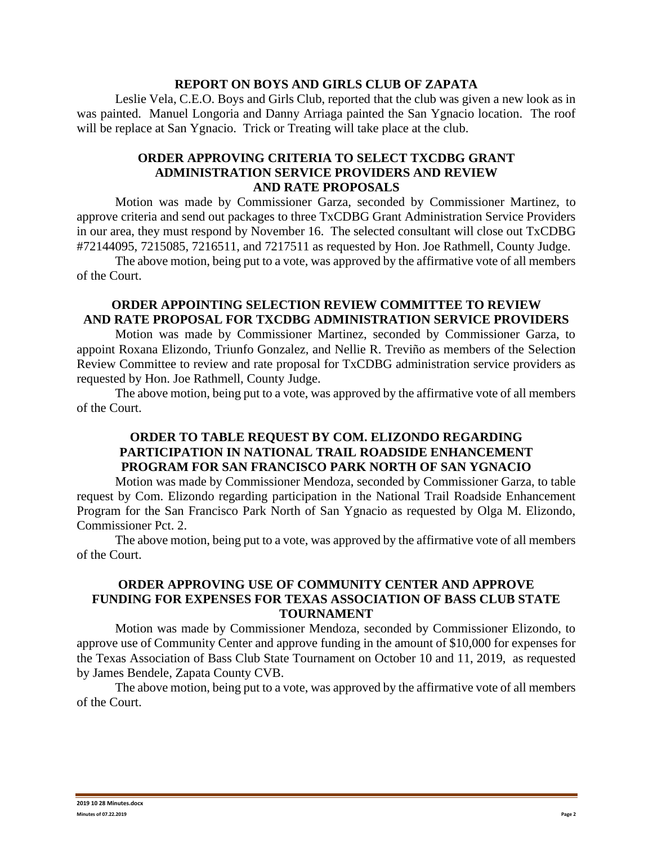#### **REPORT ON BOYS AND GIRLS CLUB OF ZAPATA**

Leslie Vela, C.E.O. Boys and Girls Club, reported that the club was given a new look as in was painted. Manuel Longoria and Danny Arriaga painted the San Ygnacio location. The roof will be replace at San Ygnacio. Trick or Treating will take place at the club.

## **ORDER APPROVING CRITERIA TO SELECT TXCDBG GRANT ADMINISTRATION SERVICE PROVIDERS AND REVIEW AND RATE PROPOSALS**

Motion was made by Commissioner Garza, seconded by Commissioner Martinez, to approve criteria and send out packages to three TxCDBG Grant Administration Service Providers in our area, they must respond by November 16. The selected consultant will close out TxCDBG #72144095, 7215085, 7216511, and 7217511 as requested by Hon. Joe Rathmell, County Judge.

The above motion, being put to a vote, was approved by the affirmative vote of all members of the Court.

## **ORDER APPOINTING SELECTION REVIEW COMMITTEE TO REVIEW AND RATE PROPOSAL FOR TXCDBG ADMINISTRATION SERVICE PROVIDERS**

Motion was made by Commissioner Martinez, seconded by Commissioner Garza, to appoint Roxana Elizondo, Triunfo Gonzalez, and Nellie R. Treviño as members of the Selection Review Committee to review and rate proposal for TxCDBG administration service providers as requested by Hon. Joe Rathmell, County Judge.

The above motion, being put to a vote, was approved by the affirmative vote of all members of the Court.

## **ORDER TO TABLE REQUEST BY COM. ELIZONDO REGARDING PARTICIPATION IN NATIONAL TRAIL ROADSIDE ENHANCEMENT PROGRAM FOR SAN FRANCISCO PARK NORTH OF SAN YGNACIO**

Motion was made by Commissioner Mendoza, seconded by Commissioner Garza, to table request by Com. Elizondo regarding participation in the National Trail Roadside Enhancement Program for the San Francisco Park North of San Ygnacio as requested by Olga M. Elizondo, Commissioner Pct. 2.

The above motion, being put to a vote, was approved by the affirmative vote of all members of the Court.

#### **ORDER APPROVING USE OF COMMUNITY CENTER AND APPROVE FUNDING FOR EXPENSES FOR TEXAS ASSOCIATION OF BASS CLUB STATE TOURNAMENT**

Motion was made by Commissioner Mendoza, seconded by Commissioner Elizondo, to approve use of Community Center and approve funding in the amount of \$10,000 for expenses for the Texas Association of Bass Club State Tournament on October 10 and 11, 2019, as requested by James Bendele, Zapata County CVB.

The above motion, being put to a vote, was approved by the affirmative vote of all members of the Court.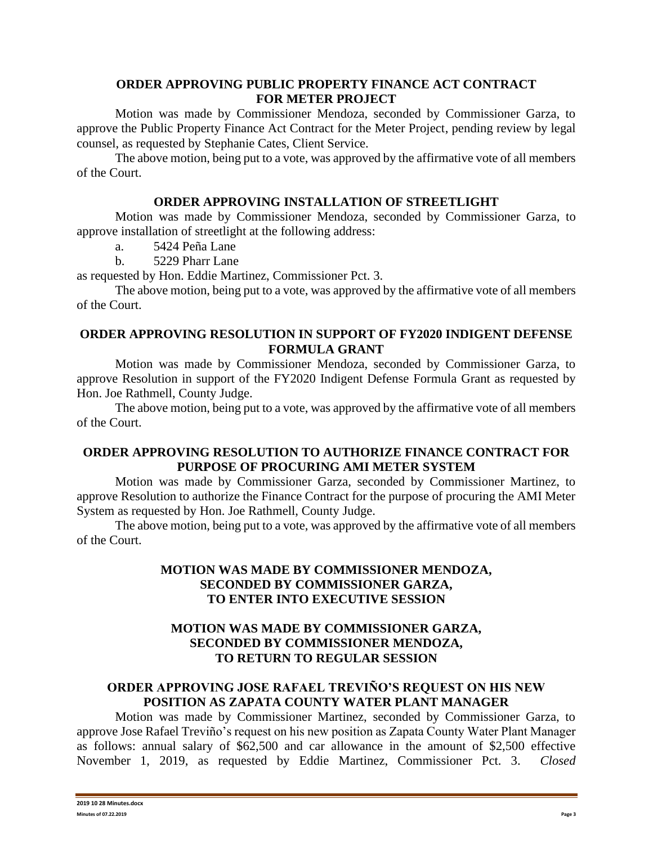## **ORDER APPROVING PUBLIC PROPERTY FINANCE ACT CONTRACT FOR METER PROJECT**

Motion was made by Commissioner Mendoza, seconded by Commissioner Garza, to approve the Public Property Finance Act Contract for the Meter Project, pending review by legal counsel, as requested by Stephanie Cates, Client Service.

The above motion, being put to a vote, was approved by the affirmative vote of all members of the Court.

# **ORDER APPROVING INSTALLATION OF STREETLIGHT**

Motion was made by Commissioner Mendoza, seconded by Commissioner Garza, to approve installation of streetlight at the following address:

a. 5424 Peña Lane

b. 5229 Pharr Lane

as requested by Hon. Eddie Martinez, Commissioner Pct. 3.

The above motion, being put to a vote, was approved by the affirmative vote of all members of the Court.

# **ORDER APPROVING RESOLUTION IN SUPPORT OF FY2020 INDIGENT DEFENSE FORMULA GRANT**

Motion was made by Commissioner Mendoza, seconded by Commissioner Garza, to approve Resolution in support of the FY2020 Indigent Defense Formula Grant as requested by Hon. Joe Rathmell, County Judge.

The above motion, being put to a vote, was approved by the affirmative vote of all members of the Court.

# **ORDER APPROVING RESOLUTION TO AUTHORIZE FINANCE CONTRACT FOR PURPOSE OF PROCURING AMI METER SYSTEM**

Motion was made by Commissioner Garza, seconded by Commissioner Martinez, to approve Resolution to authorize the Finance Contract for the purpose of procuring the AMI Meter System as requested by Hon. Joe Rathmell, County Judge.

The above motion, being put to a vote, was approved by the affirmative vote of all members of the Court.

# **MOTION WAS MADE BY COMMISSIONER MENDOZA, SECONDED BY COMMISSIONER GARZA, TO ENTER INTO EXECUTIVE SESSION**

# **MOTION WAS MADE BY COMMISSIONER GARZA, SECONDED BY COMMISSIONER MENDOZA, TO RETURN TO REGULAR SESSION**

# **ORDER APPROVING JOSE RAFAEL TREVIÑO'S REQUEST ON HIS NEW POSITION AS ZAPATA COUNTY WATER PLANT MANAGER**

Motion was made by Commissioner Martinez, seconded by Commissioner Garza, to approve Jose Rafael Treviño's request on his new position as Zapata County Water Plant Manager as follows: annual salary of \$62,500 and car allowance in the amount of \$2,500 effective November 1, 2019, as requested by Eddie Martinez, Commissioner Pct. 3. *Closed*